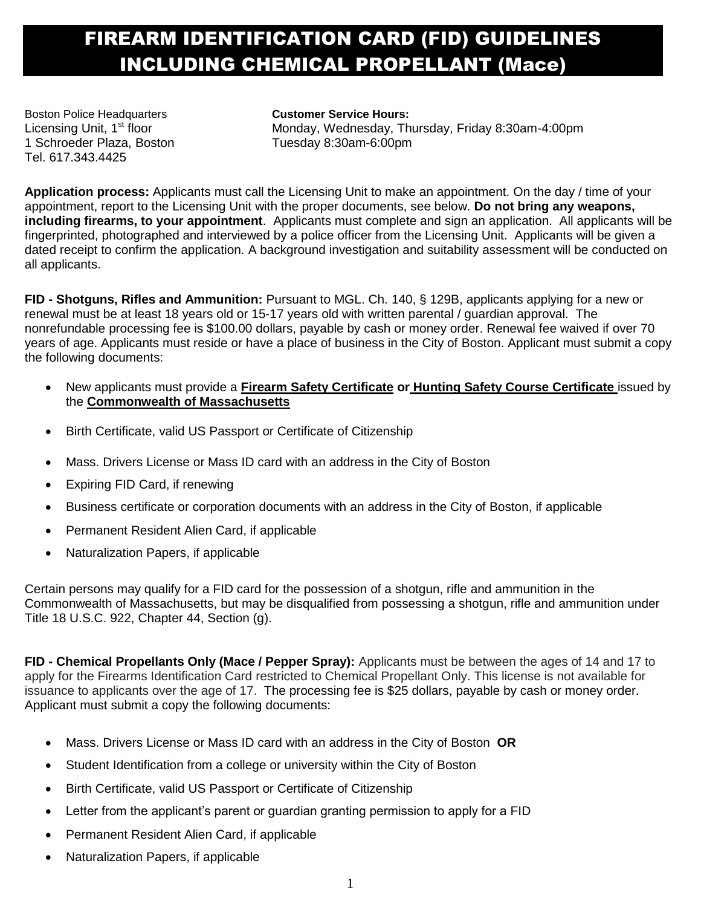## FIREARM IDENTIFICATION CARD (FID) GUIDELINES INCLUDING CHEMICAL PROPELLANT (Mace)

Boston Police Headquarters **Customer Service Hours:**  1 Schroeder Plaza, Boston Tuesday 8:30am-6:00pm Tel. 617.343.4425

Licensing Unit, 1<sup>st</sup> floor Monday, Wednesday, Thursday, Friday 8:30am-4:00pm

**Application process:** Applicants must call the Licensing Unit to make an appointment. On the day / time of your appointment, report to the Licensing Unit with the proper documents, see below. **Do not bring any weapons, including firearms, to your appointment**. Applicants must complete and sign an application. All applicants will be fingerprinted, photographed and interviewed by a police officer from the Licensing Unit. Applicants will be given a dated receipt to confirm the application. A background investigation and suitability assessment will be conducted on all applicants.

**FID - Shotguns, Rifles and Ammunition:** Pursuant to MGL. Ch. 140, § 129B, applicants applying for a new or renewal must be at least 18 years old or 15-17 years old with written parental / guardian approval. The nonrefundable processing fee is \$100.00 dollars, payable by cash or money order. Renewal fee waived if over 70 years of age. Applicants must reside or have a place of business in the City of Boston. Applicant must submit a copy the following documents:

- New applicants must provide a **Firearm Safety Certificate or Hunting Safety Course Certificate** issued by the **Commonwealth of Massachusetts**
- Birth Certificate, valid US Passport or Certificate of Citizenship
- Mass. Drivers License or Mass ID card with an address in the City of Boston
- Expiring FID Card, if renewing
- Business certificate or corporation documents with an address in the City of Boston, if applicable
- Permanent Resident Alien Card, if applicable
- Naturalization Papers, if applicable

Certain persons may qualify for a FID card for the possession of a shotgun, rifle and ammunition in the Commonwealth of Massachusetts, but may be disqualified from possessing a shotgun, rifle and ammunition under Title 18 U.S.C. 922, Chapter 44, Section (g).

**FID - Chemical Propellants Only (Mace / Pepper Spray):** Applicants must be between the ages of 14 and 17 to apply for the Firearms Identification Card restricted to Chemical Propellant Only. This license is not available for issuance to applicants over the age of 17. The processing fee is \$25 dollars, payable by cash or money order. Applicant must submit a copy the following documents:

- Mass. Drivers License or Mass ID card with an address in the City of Boston **OR**
- Student Identification from a college or university within the City of Boston
- Birth Certificate, valid US Passport or Certificate of Citizenship
- Letter from the applicant's parent or guardian granting permission to apply for a FID
- Permanent Resident Alien Card, if applicable
- Naturalization Papers, if applicable